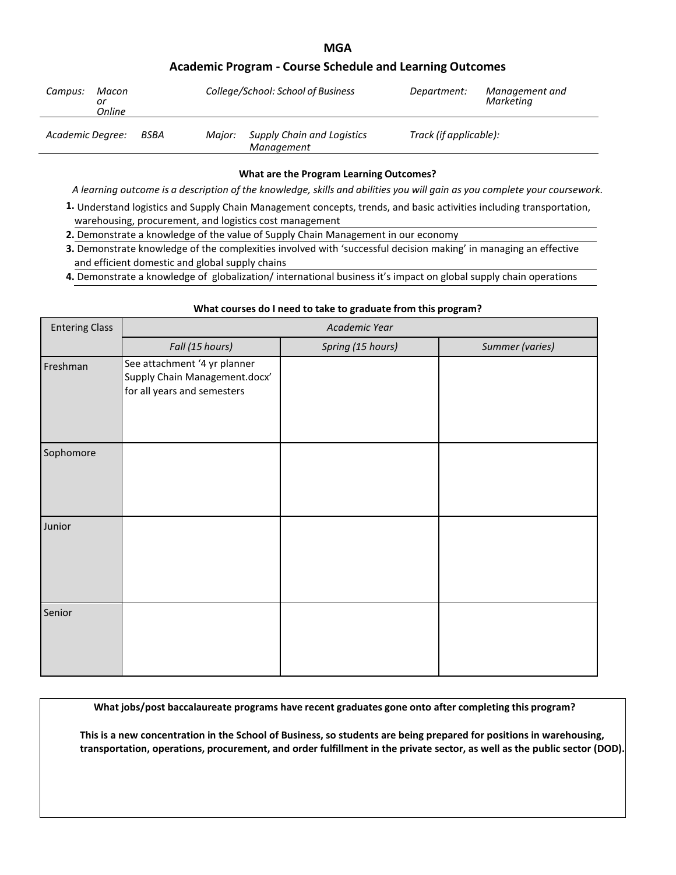# **MGA**

# **Academic Program - Course Schedule and Learning Outcomes**

| Macon<br>Campus:<br>or<br>Online |      |        | College/School: School of Business              | Department:            | Management and<br>Marketina |
|----------------------------------|------|--------|-------------------------------------------------|------------------------|-----------------------------|
| Academic Degree:                 | BSBA | Maior: | <b>Supply Chain and Logistics</b><br>Management | Track (if applicable): |                             |

## **What are the Program Learning Outcomes?**

A learning outcome is a description of the knowledge, skills and abilities you will gain as you complete your coursework.

- **1.** Understand logistics and Supply Chain Management concepts, trends, and basic activities including transportation, warehousing, procurement, and logistics cost management
- **2.** Demonstrate a knowledge of the value of Supply Chain Management in our economy
- **3.** Demonstrate knowledge of the complexities involved with 'successful decision making' in managing an effective and efficient domestic and global supply chains
- **4.** Demonstrate a knowledge of globalization/ international business it's impact on global supply chain operations

# **What courses do I need to take to graduate from this program?**

| <b>Entering Class</b> | Academic Year                                                                                |                   |                 |  |
|-----------------------|----------------------------------------------------------------------------------------------|-------------------|-----------------|--|
|                       | Fall (15 hours)                                                                              | Spring (15 hours) | Summer (varies) |  |
| Freshman              | See attachment '4 yr planner<br>Supply Chain Management.docx'<br>for all years and semesters |                   |                 |  |
| Sophomore             |                                                                                              |                   |                 |  |
| Junior                |                                                                                              |                   |                 |  |
| Senior                |                                                                                              |                   |                 |  |

**What jobs/post baccalaureate programs have recent graduates gone onto after completing this program?**

**This is a new concentration in the School of Business, so students are being prepared for positions in warehousing, transportation, operations, procurement, and order fulfillment in the private sector, as well as the public sector (DOD).**